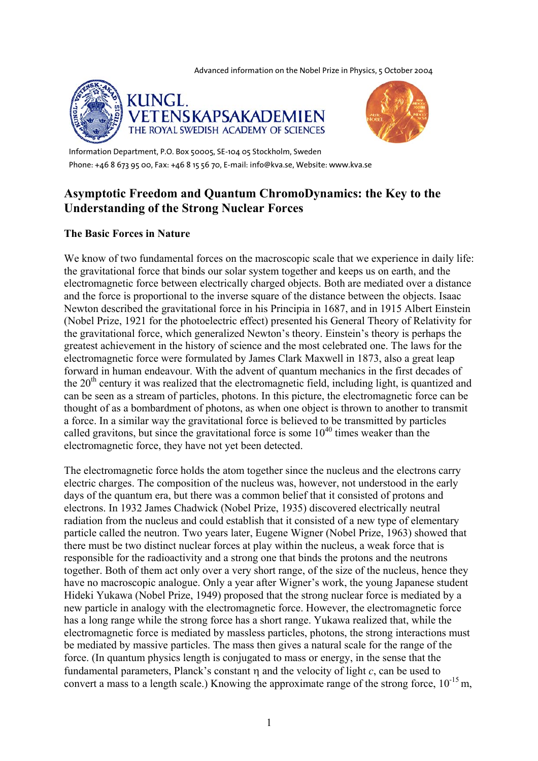Advanced information on the Nobel Prize in Physics, 5 October 2004





Information Department, P.O. Box 50005, SE-104 05 Stockholm, Sweden Phone: +46 8 673 95 00, Fax: +46 8 15 56 70, E-mail: info@kva.se, Website: www.kva.se

# **Asymptotic Freedom and Quantum ChromoDynamics: the Key to the Understanding of the Strong Nuclear Forces**

## **The Basic Forces in Nature**

We know of two fundamental forces on the macroscopic scale that we experience in daily life: the gravitational force that binds our solar system together and keeps us on earth, and the electromagnetic force between electrically charged objects. Both are mediated over a distance and the force is proportional to the inverse square of the distance between the objects. Isaac Newton described the gravitational force in his Principia in 1687, and in 1915 Albert Einstein (Nobel Prize, 1921 for the photoelectric effect) presented his General Theory of Relativity for the gravitational force, which generalized Newton's theory. Einstein's theory is perhaps the greatest achievement in the history of science and the most celebrated one. The laws for the electromagnetic force were formulated by James Clark Maxwell in 1873, also a great leap forward in human endeavour. With the advent of quantum mechanics in the first decades of the  $20<sup>th</sup>$  century it was realized that the electromagnetic field, including light, is quantized and can be seen as a stream of particles, photons. In this picture, the electromagnetic force can be thought of as a bombardment of photons, as when one object is thrown to another to transmit a force. In a similar way the gravitational force is believed to be transmitted by particles called gravitons, but since the gravitational force is some  $10^{40}$  times weaker than the electromagnetic force, they have not yet been detected.

The electromagnetic force holds the atom together since the nucleus and the electrons carry electric charges. The composition of the nucleus was, however, not understood in the early days of the quantum era, but there was a common belief that it consisted of protons and electrons. In 1932 James Chadwick (Nobel Prize, 1935) discovered electrically neutral radiation from the nucleus and could establish that it consisted of a new type of elementary particle called the neutron. Two years later, Eugene Wigner (Nobel Prize, 1963) showed that there must be two distinct nuclear forces at play within the nucleus, a weak force that is responsible for the radioactivity and a strong one that binds the protons and the neutrons together. Both of them act only over a very short range, of the size of the nucleus, hence they have no macroscopic analogue. Only a year after Wigner's work, the young Japanese student Hideki Yukawa (Nobel Prize, 1949) proposed that the strong nuclear force is mediated by a new particle in analogy with the electromagnetic force. However, the electromagnetic force has a long range while the strong force has a short range. Yukawa realized that, while the electromagnetic force is mediated by massless particles, photons, the strong interactions must be mediated by massive particles. The mass then gives a natural scale for the range of the force. (In quantum physics length is conjugated to mass or energy, in the sense that the fundamental parameters, Planck's constant η and the velocity of light *c*, can be used to convert a mass to a length scale.) Knowing the approximate range of the strong force,  $10^{-15}$  m,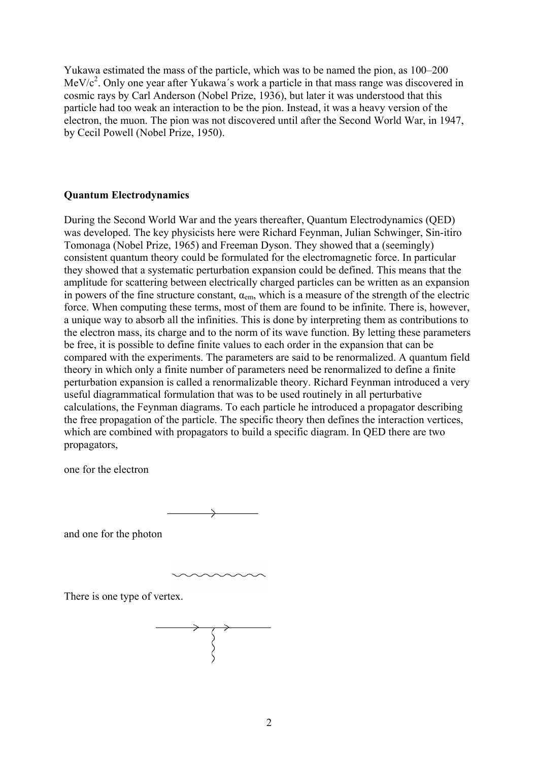Yukawa estimated the mass of the particle, which was to be named the pion, as 100–200 MeV/ $c^2$ . Only one year after Yukawa's work a particle in that mass range was discovered in cosmic rays by Carl Anderson (Nobel Prize, 1936), but later it was understood that this particle had too weak an interaction to be the pion. Instead, it was a heavy version of the electron, the muon. The pion was not discovered until after the Second World War, in 1947, by Cecil Powell (Nobel Prize, 1950).

## **Quantum Electrodynamics**

During the Second World War and the years thereafter, Quantum Electrodynamics (QED) was developed. The key physicists here were Richard Feynman, Julian Schwinger, Sin-itiro Tomonaga (Nobel Prize, 1965) and Freeman Dyson. They showed that a (seemingly) consistent quantum theory could be formulated for the electromagnetic force. In particular they showed that a systematic perturbation expansion could be defined. This means that the amplitude for scattering between electrically charged particles can be written as an expansion in powers of the fine structure constant,  $\alpha_{em}$ , which is a measure of the strength of the electric force. When computing these terms, most of them are found to be infinite. There is, however, a unique way to absorb all the infinities. This is done by interpreting them as contributions to the electron mass, its charge and to the norm of its wave function. By letting these parameters be free, it is possible to define finite values to each order in the expansion that can be compared with the experiments. The parameters are said to be renormalized. A quantum field theory in which only a finite number of parameters need be renormalized to define a finite perturbation expansion is called a renormalizable theory. Richard Feynman introduced a very useful diagrammatical formulation that was to be used routinely in all perturbative calculations, the Feynman diagrams. To each particle he introduced a propagator describing the free propagation of the particle. The specific theory then defines the interaction vertices, which are combined with propagators to build a specific diagram. In QED there are two propagators,

one for the electron

and one for the photon

There is one type of vertex.

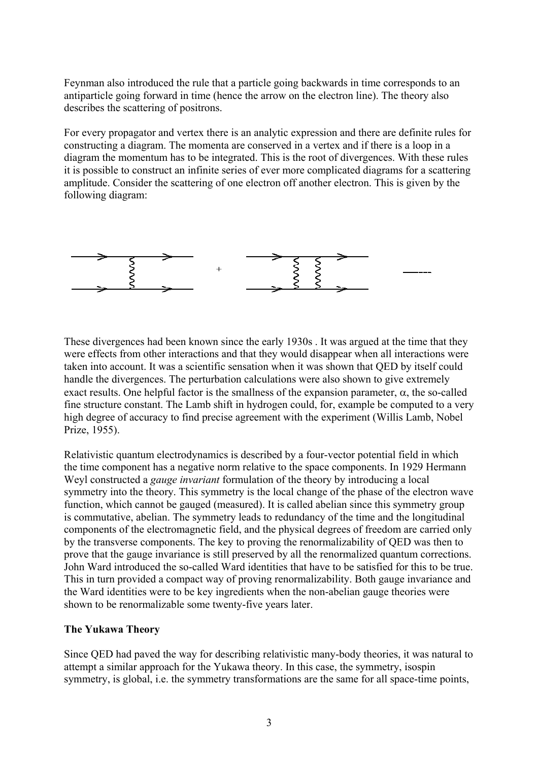Feynman also introduced the rule that a particle going backwards in time corresponds to an antiparticle going forward in time (hence the arrow on the electron line). The theory also describes the scattering of positrons.

For every propagator and vertex there is an analytic expression and there are definite rules for constructing a diagram. The momenta are conserved in a vertex and if there is a loop in a diagram the momentum has to be integrated. This is the root of divergences. With these rules it is possible to construct an infinite series of ever more complicated diagrams for a scattering amplitude. Consider the scattering of one electron off another electron. This is given by the following diagram:



These divergences had been known since the early 1930s . It was argued at the time that they were effects from other interactions and that they would disappear when all interactions were taken into account. It was a scientific sensation when it was shown that QED by itself could handle the divergences. The perturbation calculations were also shown to give extremely exact results. One helpful factor is the smallness of the expansion parameter,  $\alpha$ , the so-called fine structure constant. The Lamb shift in hydrogen could, for, example be computed to a very high degree of accuracy to find precise agreement with the experiment (Willis Lamb, Nobel Prize, 1955).

Relativistic quantum electrodynamics is described by a four-vector potential field in which the time component has a negative norm relative to the space components. In 1929 Hermann Weyl constructed a *gauge invariant* formulation of the theory by introducing a local symmetry into the theory. This symmetry is the local change of the phase of the electron wave function, which cannot be gauged (measured). It is called abelian since this symmetry group is commutative, abelian. The symmetry leads to redundancy of the time and the longitudinal components of the electromagnetic field, and the physical degrees of freedom are carried only by the transverse components. The key to proving the renormalizability of QED was then to prove that the gauge invariance is still preserved by all the renormalized quantum corrections. John Ward introduced the so-called Ward identities that have to be satisfied for this to be true. This in turn provided a compact way of proving renormalizability. Both gauge invariance and the Ward identities were to be key ingredients when the non-abelian gauge theories were shown to be renormalizable some twenty-five years later.

#### **The Yukawa Theory**

Since QED had paved the way for describing relativistic many-body theories, it was natural to attempt a similar approach for the Yukawa theory. In this case, the symmetry, isospin symmetry, is global, i.e. the symmetry transformations are the same for all space-time points,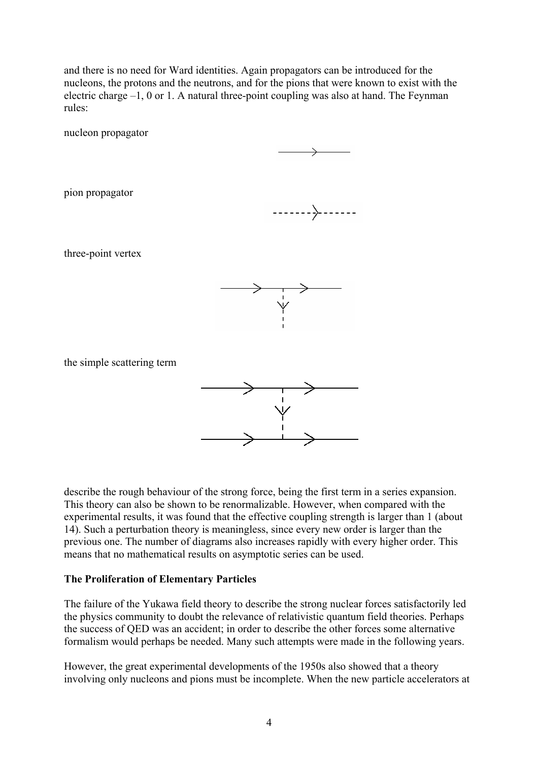and there is no need for Ward identities. Again propagators can be introduced for the nucleons, the protons and the neutrons, and for the pions that were known to exist with the electric charge –1, 0 or 1. A natural three-point coupling was also at hand. The Feynman rules:

nucleon propagator

pion propagator



three-point vertex



the simple scattering term



describe the rough behaviour of the strong force, being the first term in a series expansion. This theory can also be shown to be renormalizable. However, when compared with the experimental results, it was found that the effective coupling strength is larger than 1 (about 14). Such a perturbation theory is meaningless, since every new order is larger than the previous one. The number of diagrams also increases rapidly with every higher order. This means that no mathematical results on asymptotic series can be used.

#### **The Proliferation of Elementary Particles**

The failure of the Yukawa field theory to describe the strong nuclear forces satisfactorily led the physics community to doubt the relevance of relativistic quantum field theories. Perhaps the success of QED was an accident; in order to describe the other forces some alternative formalism would perhaps be needed. Many such attempts were made in the following years.

However, the great experimental developments of the 1950s also showed that a theory involving only nucleons and pions must be incomplete. When the new particle accelerators at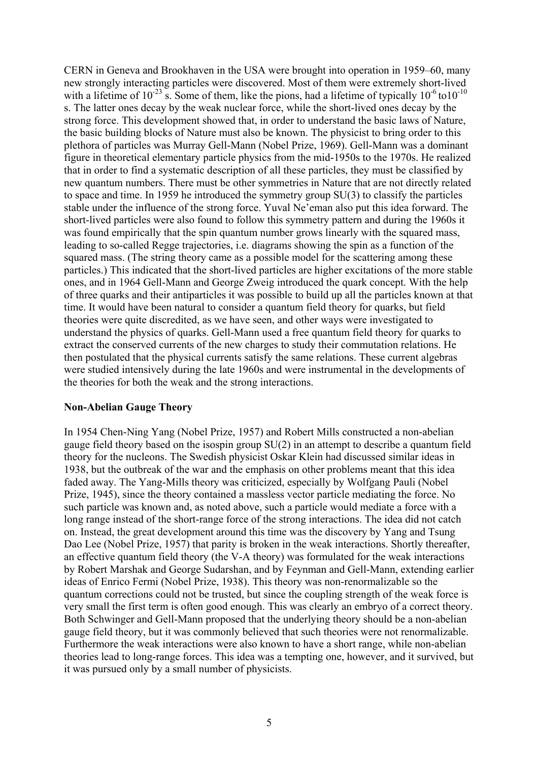CERN in Geneva and Brookhaven in the USA were brought into operation in 1959–60, many new strongly interacting particles were discovered. Most of them were extremely short-lived with a lifetime of  $10^{-23}$  s. Some of them, like the pions, had a lifetime of typically  $10^{-6}$  to  $10^{-10}$ s. The latter ones decay by the weak nuclear force, while the short-lived ones decay by the strong force. This development showed that, in order to understand the basic laws of Nature, the basic building blocks of Nature must also be known. The physicist to bring order to this plethora of particles was Murray Gell-Mann (Nobel Prize, 1969). Gell-Mann was a dominant figure in theoretical elementary particle physics from the mid-1950s to the 1970s. He realized that in order to find a systematic description of all these particles, they must be classified by new quantum numbers. There must be other symmetries in Nature that are not directly related to space and time. In 1959 he introduced the symmetry group SU(3) to classify the particles stable under the influence of the strong force. Yuval Ne'eman also put this idea forward. The short-lived particles were also found to follow this symmetry pattern and during the 1960s it was found empirically that the spin quantum number grows linearly with the squared mass, leading to so-called Regge trajectories, i.e. diagrams showing the spin as a function of the squared mass. (The string theory came as a possible model for the scattering among these particles.) This indicated that the short-lived particles are higher excitations of the more stable ones, and in 1964 Gell-Mann and George Zweig introduced the quark concept. With the help of three quarks and their antiparticles it was possible to build up all the particles known at that time. It would have been natural to consider a quantum field theory for quarks, but field theories were quite discredited, as we have seen, and other ways were investigated to understand the physics of quarks. Gell-Mann used a free quantum field theory for quarks to extract the conserved currents of the new charges to study their commutation relations. He then postulated that the physical currents satisfy the same relations. These current algebras were studied intensively during the late 1960s and were instrumental in the developments of the theories for both the weak and the strong interactions.

#### **Non-Abelian Gauge Theory**

In 1954 Chen-Ning Yang (Nobel Prize, 1957) and Robert Mills constructed a non-abelian gauge field theory based on the isospin group SU(2) in an attempt to describe a quantum field theory for the nucleons. The Swedish physicist Oskar Klein had discussed similar ideas in 1938, but the outbreak of the war and the emphasis on other problems meant that this idea faded away. The Yang-Mills theory was criticized, especially by Wolfgang Pauli (Nobel Prize, 1945), since the theory contained a massless vector particle mediating the force. No such particle was known and, as noted above, such a particle would mediate a force with a long range instead of the short-range force of the strong interactions. The idea did not catch on. Instead, the great development around this time was the discovery by Yang and Tsung Dao Lee (Nobel Prize, 1957) that parity is broken in the weak interactions. Shortly thereafter, an effective quantum field theory (the V-A theory) was formulated for the weak interactions by Robert Marshak and George Sudarshan, and by Feynman and Gell-Mann, extending earlier ideas of Enrico Fermi (Nobel Prize, 1938). This theory was non-renormalizable so the quantum corrections could not be trusted, but since the coupling strength of the weak force is very small the first term is often good enough. This was clearly an embryo of a correct theory. Both Schwinger and Gell-Mann proposed that the underlying theory should be a non-abelian gauge field theory, but it was commonly believed that such theories were not renormalizable. Furthermore the weak interactions were also known to have a short range, while non-abelian theories lead to long-range forces. This idea was a tempting one, however, and it survived, but it was pursued only by a small number of physicists.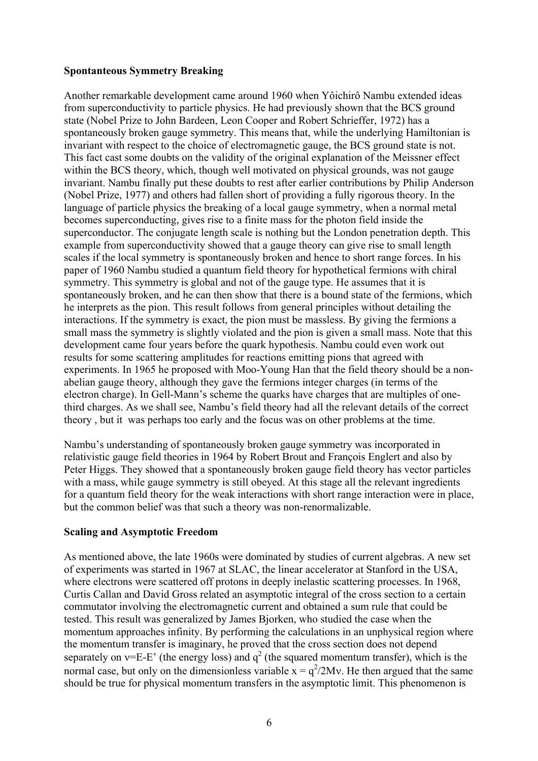## **Spontanteous Symmetry Breaking**

Another remarkable development came around 1960 when Yôichirô Nambu extended ideas from superconductivity to particle physics. He had previously shown that the BCS ground state (Nobel Prize to John Bardeen, Leon Cooper and Robert Schrieffer, 1972) has a spontaneously broken gauge symmetry. This means that, while the underlying Hamiltonian is invariant with respect to the choice of electromagnetic gauge, the BCS ground state is not. This fact cast some doubts on the validity of the original explanation of the Meissner effect within the BCS theory, which, though well motivated on physical grounds, was not gauge invariant. Nambu finally put these doubts to rest after earlier contributions by Philip Anderson (Nobel Prize, 1977) and others had fallen short of providing a fully rigorous theory. In the language of particle physics the breaking of a local gauge symmetry, when a normal metal becomes superconducting, gives rise to a finite mass for the photon field inside the superconductor. The conjugate length scale is nothing but the London penetration depth. This example from superconductivity showed that a gauge theory can give rise to small length scales if the local symmetry is spontaneously broken and hence to short range forces. In his paper of 1960 Nambu studied a quantum field theory for hypothetical fermions with chiral symmetry. This symmetry is global and not of the gauge type. He assumes that it is spontaneously broken, and he can then show that there is a bound state of the fermions, which he interprets as the pion. This result follows from general principles without detailing the interactions. If the symmetry is exact, the pion must be massless. By giving the fermions a small mass the symmetry is slightly violated and the pion is given a small mass. Note that this development came four years before the quark hypothesis. Nambu could even work out results for some scattering amplitudes for reactions emitting pions that agreed with experiments. In 1965 he proposed with Moo-Young Han that the field theory should be a nonabelian gauge theory, although they gave the fermions integer charges (in terms of the electron charge). In Gell-Mann's scheme the quarks have charges that are multiples of onethird charges. As we shall see, Nambu's field theory had all the relevant details of the correct theory , but it was perhaps too early and the focus was on other problems at the time.

Nambu's understanding of spontaneously broken gauge symmetry was incorporated in relativistic gauge field theories in 1964 by Robert Brout and François Englert and also by Peter Higgs. They showed that a spontaneously broken gauge field theory has vector particles with a mass, while gauge symmetry is still obeyed. At this stage all the relevant ingredients for a quantum field theory for the weak interactions with short range interaction were in place, but the common belief was that such a theory was non-renormalizable.

#### **Scaling and Asymptotic Freedom**

As mentioned above, the late 1960s were dominated by studies of current algebras. A new set of experiments was started in 1967 at SLAC, the linear accelerator at Stanford in the USA, where electrons were scattered off protons in deeply inelastic scattering processes. In 1968, Curtis Callan and David Gross related an asymptotic integral of the cross section to a certain commutator involving the electromagnetic current and obtained a sum rule that could be tested. This result was generalized by James Bjorken, who studied the case when the momentum approaches infinity. By performing the calculations in an unphysical region where the momentum transfer is imaginary, he proved that the cross section does not depend separately on  $v=E-E'$  (the energy loss) and  $q^2$  (the squared momentum transfer), which is the normal case, but only on the dimensionless variable  $x = q^2/2Mv$ . He then argued that the same should be true for physical momentum transfers in the asymptotic limit. This phenomenon is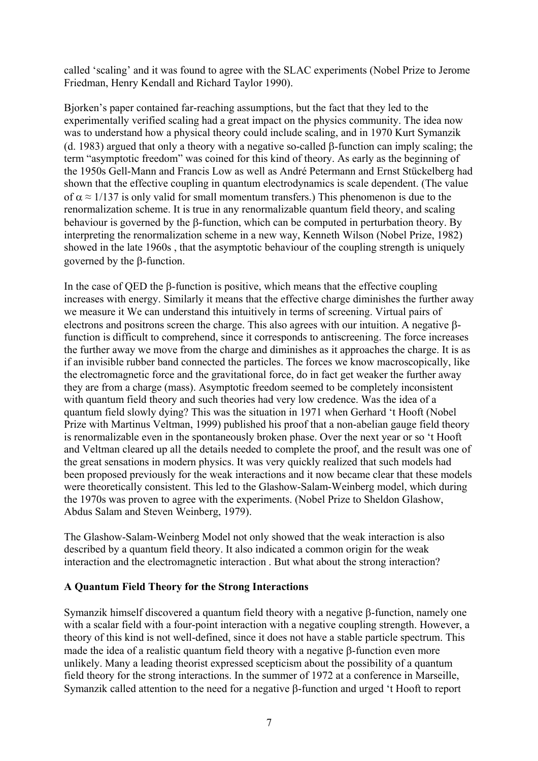called 'scaling' and it was found to agree with the SLAC experiments (Nobel Prize to Jerome Friedman, Henry Kendall and Richard Taylor 1990).

Bjorken's paper contained far-reaching assumptions, but the fact that they led to the experimentally verified scaling had a great impact on the physics community. The idea now was to understand how a physical theory could include scaling, and in 1970 Kurt Symanzik (d. 1983) argued that only a theory with a negative so-called β-function can imply scaling; the term "asymptotic freedom" was coined for this kind of theory. As early as the beginning of the 1950s Gell-Mann and Francis Low as well as André Petermann and Ernst Stückelberg had shown that the effective coupling in quantum electrodynamics is scale dependent. (The value of  $\alpha \approx 1/137$  is only valid for small momentum transfers.) This phenomenon is due to the renormalization scheme. It is true in any renormalizable quantum field theory, and scaling behaviour is governed by the β-function, which can be computed in perturbation theory. By interpreting the renormalization scheme in a new way, Kenneth Wilson (Nobel Prize, 1982) showed in the late 1960s , that the asymptotic behaviour of the coupling strength is uniquely governed by the β-function.

In the case of QED the β-function is positive, which means that the effective coupling increases with energy. Similarly it means that the effective charge diminishes the further away we measure it We can understand this intuitively in terms of screening. Virtual pairs of electrons and positrons screen the charge. This also agrees with our intuition. A negative βfunction is difficult to comprehend, since it corresponds to antiscreening. The force increases the further away we move from the charge and diminishes as it approaches the charge. It is as if an invisible rubber band connected the particles. The forces we know macroscopically, like the electromagnetic force and the gravitational force, do in fact get weaker the further away they are from a charge (mass). Asymptotic freedom seemed to be completely inconsistent with quantum field theory and such theories had very low credence. Was the idea of a quantum field slowly dying? This was the situation in 1971 when Gerhard 't Hooft (Nobel Prize with Martinus Veltman, 1999) published his proof that a non-abelian gauge field theory is renormalizable even in the spontaneously broken phase. Over the next year or so 't Hooft and Veltman cleared up all the details needed to complete the proof, and the result was one of the great sensations in modern physics. It was very quickly realized that such models had been proposed previously for the weak interactions and it now became clear that these models were theoretically consistent. This led to the Glashow-Salam-Weinberg model, which during the 1970s was proven to agree with the experiments. (Nobel Prize to Sheldon Glashow, Abdus Salam and Steven Weinberg, 1979).

The Glashow-Salam-Weinberg Model not only showed that the weak interaction is also described by a quantum field theory. It also indicated a common origin for the weak interaction and the electromagnetic interaction . But what about the strong interaction?

#### **A Quantum Field Theory for the Strong Interactions**

Symanzik himself discovered a quantum field theory with a negative β-function, namely one with a scalar field with a four-point interaction with a negative coupling strength. However, a theory of this kind is not well-defined, since it does not have a stable particle spectrum. This made the idea of a realistic quantum field theory with a negative β-function even more unlikely. Many a leading theorist expressed scepticism about the possibility of a quantum field theory for the strong interactions. In the summer of 1972 at a conference in Marseille, Symanzik called attention to the need for a negative β-function and urged 't Hooft to report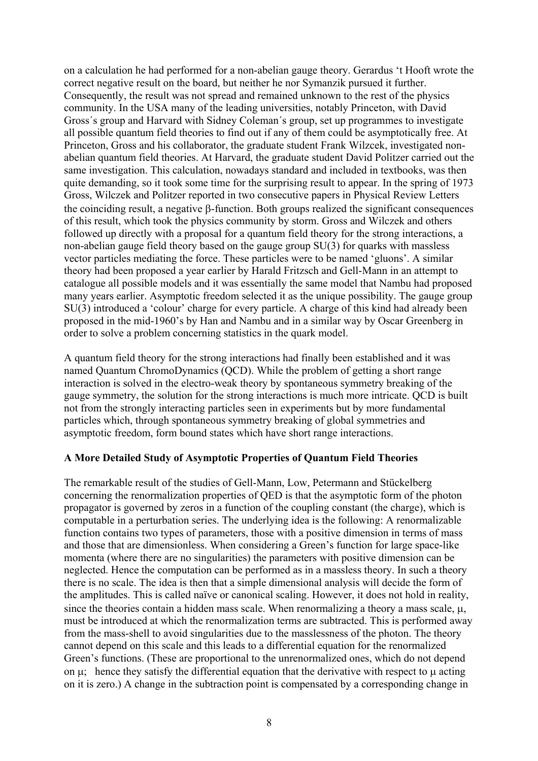on a calculation he had performed for a non-abelian gauge theory. Gerardus 't Hooft wrote the correct negative result on the board, but neither he nor Symanzik pursued it further. Consequently, the result was not spread and remained unknown to the rest of the physics community. In the USA many of the leading universities, notably Princeton, with David Gross´s group and Harvard with Sidney Coleman´s group, set up programmes to investigate all possible quantum field theories to find out if any of them could be asymptotically free. At Princeton, Gross and his collaborator, the graduate student Frank Wilzcek, investigated nonabelian quantum field theories. At Harvard, the graduate student David Politzer carried out the same investigation. This calculation, nowadays standard and included in textbooks, was then quite demanding, so it took some time for the surprising result to appear. In the spring of 1973 Gross, Wilczek and Politzer reported in two consecutive papers in Physical Review Letters the coinciding result, a negative β-function. Both groups realized the significant consequences of this result, which took the physics community by storm. Gross and Wilczek and others followed up directly with a proposal for a quantum field theory for the strong interactions, a non-abelian gauge field theory based on the gauge group SU(3) for quarks with massless vector particles mediating the force. These particles were to be named 'gluons'. A similar theory had been proposed a year earlier by Harald Fritzsch and Gell-Mann in an attempt to catalogue all possible models and it was essentially the same model that Nambu had proposed many years earlier. Asymptotic freedom selected it as the unique possibility. The gauge group SU(3) introduced a 'colour' charge for every particle. A charge of this kind had already been proposed in the mid-1960's by Han and Nambu and in a similar way by Oscar Greenberg in order to solve a problem concerning statistics in the quark model.

A quantum field theory for the strong interactions had finally been established and it was named Quantum ChromoDynamics (QCD). While the problem of getting a short range interaction is solved in the electro-weak theory by spontaneous symmetry breaking of the gauge symmetry, the solution for the strong interactions is much more intricate. QCD is built not from the strongly interacting particles seen in experiments but by more fundamental particles which, through spontaneous symmetry breaking of global symmetries and asymptotic freedom, form bound states which have short range interactions.

#### **A More Detailed Study of Asymptotic Properties of Quantum Field Theories**

The remarkable result of the studies of Gell-Mann, Low, Petermann and Stückelberg concerning the renormalization properties of QED is that the asymptotic form of the photon propagator is governed by zeros in a function of the coupling constant (the charge), which is computable in a perturbation series. The underlying idea is the following: A renormalizable function contains two types of parameters, those with a positive dimension in terms of mass and those that are dimensionless. When considering a Green's function for large space-like momenta (where there are no singularities) the parameters with positive dimension can be neglected. Hence the computation can be performed as in a massless theory. In such a theory there is no scale. The idea is then that a simple dimensional analysis will decide the form of the amplitudes. This is called naïve or canonical scaling. However, it does not hold in reality, since the theories contain a hidden mass scale. When renormalizing a theory a mass scale,  $\mu$ , must be introduced at which the renormalization terms are subtracted. This is performed away from the mass-shell to avoid singularities due to the masslessness of the photon. The theory cannot depend on this scale and this leads to a differential equation for the renormalized Green's functions. (These are proportional to the unrenormalized ones, which do not depend on  $\mu$ ; hence they satisfy the differential equation that the derivative with respect to  $\mu$  acting on it is zero.) A change in the subtraction point is compensated by a corresponding change in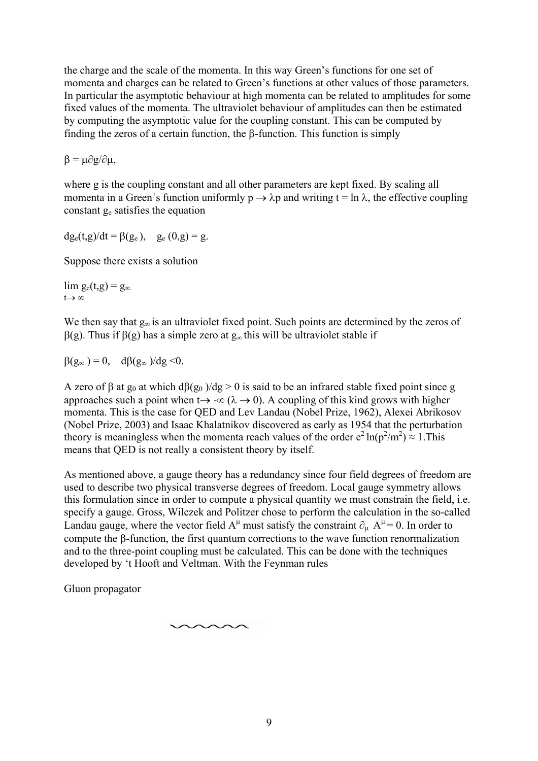the charge and the scale of the momenta. In this way Green's functions for one set of momenta and charges can be related to Green's functions at other values of those parameters. In particular the asymptotic behaviour at high momenta can be related to amplitudes for some fixed values of the momenta. The ultraviolet behaviour of amplitudes can then be estimated by computing the asymptotic value for the coupling constant. This can be computed by finding the zeros of a certain function, the β-function. This function is simply

 $β = μ∂g/∂μ,$ 

where g is the coupling constant and all other parameters are kept fixed. By scaling all momenta in a Green's function uniformly  $p \to \lambda p$  and writing  $t = \ln \lambda$ , the effective coupling constant  $g_e$  satisfies the equation

 $dg_e(t,g)/dt = \beta(g_e)$ ,  $g_e(0,g) = g$ .

Suppose there exists a solution

lim  $g_e(t,g) = g_\infty$ .  $t \rightarrow \infty$ 

We then say that  $g_{\infty}$  is an ultraviolet fixed point. Such points are determined by the zeros of β(g). Thus if β(g) has a simple zero at g<sup>∞</sup> this will be ultraviolet stable if

 $\beta(g_{\infty}) = 0$ ,  $d\beta(g_{\infty})/dg \leq 0$ .

A zero of β at  $g_0$  at which  $d\beta(g_0)/dg > 0$  is said to be an infrared stable fixed point since g approaches such a point when  $t \rightarrow -\infty$  ( $\lambda \rightarrow 0$ ). A coupling of this kind grows with higher momenta. This is the case for QED and Lev Landau (Nobel Prize, 1962), Alexei Abrikosov (Nobel Prize, 2003) and Isaac Khalatnikov discovered as early as 1954 that the perturbation theory is meaningless when the momenta reach values of the order  $e^2 \ln(p^2/m^2) \approx 1$ . This means that QED is not really a consistent theory by itself.

As mentioned above, a gauge theory has a redundancy since four field degrees of freedom are used to describe two physical transverse degrees of freedom. Local gauge symmetry allows this formulation since in order to compute a physical quantity we must constrain the field, i.e. specify a gauge. Gross, Wilczek and Politzer chose to perform the calculation in the so-called Landau gauge, where the vector field  $A^{\mu}$  must satisfy the constraint  $\partial_{\mu} A^{\mu} = 0$ . In order to compute the β-function, the first quantum corrections to the wave function renormalization and to the three-point coupling must be calculated. This can be done with the techniques developed by 't Hooft and Veltman. With the Feynman rules

Gluon propagator

$$
\smash{\sim}{\sim}{\sim}{\sim}
$$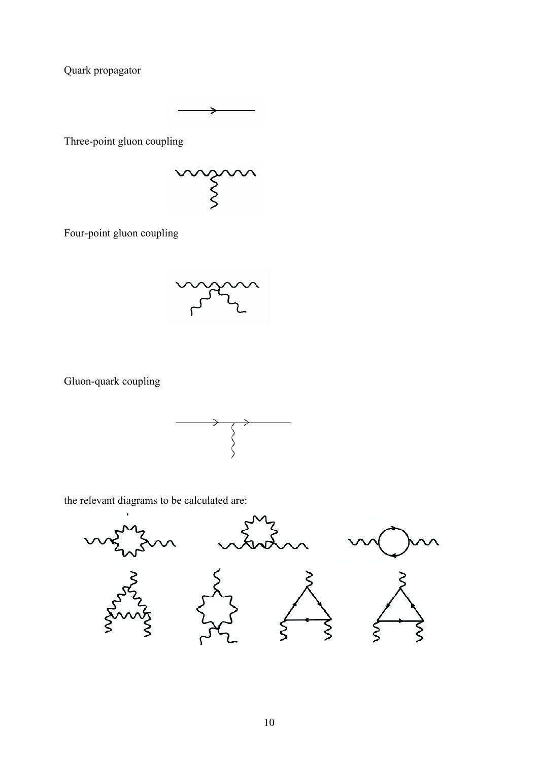Quark propagator

Three-point gluon coupling



Four-point gluon coupling

Gluon-quark coupling



the relevant diagrams to be calculated are:

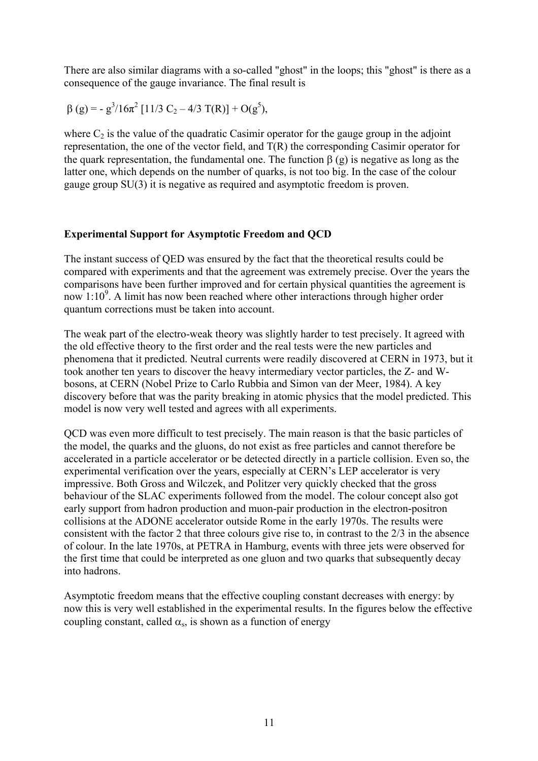There are also similar diagrams with a so-called "ghost" in the loops; this "ghost" is there as a consequence of the gauge invariance. The final result is

$$
\beta (g) = -g^3/16\pi^2 [11/3 C_2 - 4/3 T(R)] + O(g^5),
$$

where  $C_2$  is the value of the quadratic Casimir operator for the gauge group in the adjoint representation, the one of the vector field, and T(R) the corresponding Casimir operator for the quark representation, the fundamental one. The function  $\beta$  (g) is negative as long as the latter one, which depends on the number of quarks, is not too big. In the case of the colour gauge group SU(3) it is negative as required and asymptotic freedom is proven.

#### **Experimental Support for Asymptotic Freedom and QCD**

The instant success of QED was ensured by the fact that the theoretical results could be compared with experiments and that the agreement was extremely precise. Over the years the comparisons have been further improved and for certain physical quantities the agreement is now 1:10<sup>9</sup>. A limit has now been reached where other interactions through higher order quantum corrections must be taken into account.

The weak part of the electro-weak theory was slightly harder to test precisely. It agreed with the old effective theory to the first order and the real tests were the new particles and phenomena that it predicted. Neutral currents were readily discovered at CERN in 1973, but it took another ten years to discover the heavy intermediary vector particles, the Z- and Wbosons, at CERN (Nobel Prize to Carlo Rubbia and Simon van der Meer, 1984). A key discovery before that was the parity breaking in atomic physics that the model predicted. This model is now very well tested and agrees with all experiments.

QCD was even more difficult to test precisely. The main reason is that the basic particles of the model, the quarks and the gluons, do not exist as free particles and cannot therefore be accelerated in a particle accelerator or be detected directly in a particle collision. Even so, the experimental verification over the years, especially at CERN's LEP accelerator is very impressive. Both Gross and Wilczek, and Politzer very quickly checked that the gross behaviour of the SLAC experiments followed from the model. The colour concept also got early support from hadron production and muon-pair production in the electron-positron collisions at the ADONE accelerator outside Rome in the early 1970s. The results were consistent with the factor 2 that three colours give rise to, in contrast to the 2/3 in the absence of colour. In the late 1970s, at PETRA in Hamburg, events with three jets were observed for the first time that could be interpreted as one gluon and two quarks that subsequently decay into hadrons.

Asymptotic freedom means that the effective coupling constant decreases with energy: by now this is very well established in the experimental results. In the figures below the effective coupling constant, called  $\alpha_s$ , is shown as a function of energy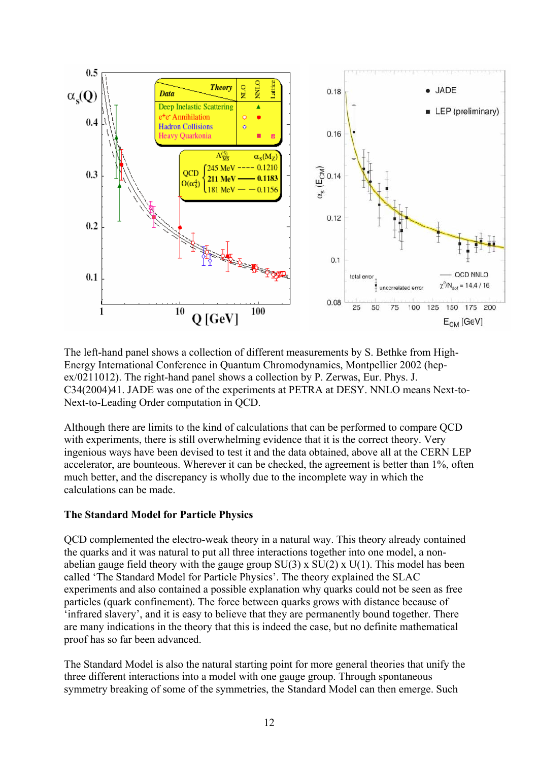

The left-hand panel shows a collection of different measurements by S. Bethke from High-Energy International Conference in Quantum Chromodynamics, Montpellier 2002 (hepex/0211012). The right-hand panel shows a collection by P. Zerwas, Eur. Phys. J. C34(2004)41. JADE was one of the experiments at PETRA at DESY. NNLO means Next-to-Next-to-Leading Order computation in QCD.

Although there are limits to the kind of calculations that can be performed to compare QCD with experiments, there is still overwhelming evidence that it is the correct theory. Very ingenious ways have been devised to test it and the data obtained, above all at the CERN LEP accelerator, are bounteous. Wherever it can be checked, the agreement is better than 1%, often much better, and the discrepancy is wholly due to the incomplete way in which the calculations can be made.

#### **The Standard Model for Particle Physics**

QCD complemented the electro-weak theory in a natural way. This theory already contained the quarks and it was natural to put all three interactions together into one model, a nonabelian gauge field theory with the gauge group  $SU(3)$  x  $SU(2)$  x  $U(1)$ . This model has been called 'The Standard Model for Particle Physics'. The theory explained the SLAC experiments and also contained a possible explanation why quarks could not be seen as free particles (quark confinement). The force between quarks grows with distance because of 'infrared slavery', and it is easy to believe that they are permanently bound together. There are many indications in the theory that this is indeed the case, but no definite mathematical proof has so far been advanced.

The Standard Model is also the natural starting point for more general theories that unify the three different interactions into a model with one gauge group. Through spontaneous symmetry breaking of some of the symmetries, the Standard Model can then emerge. Such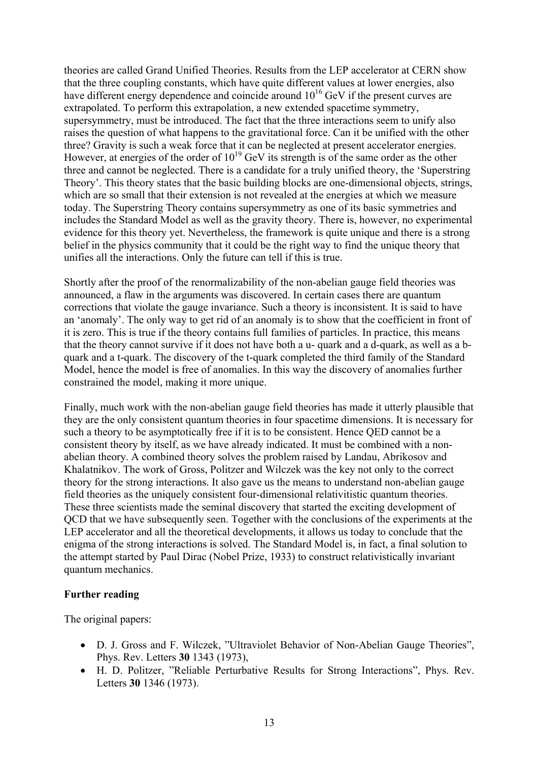theories are called Grand Unified Theories. Results from the LEP accelerator at CERN show that the three coupling constants, which have quite different values at lower energies, also have different energy dependence and coincide around  $10^{16}$  GeV if the present curves are extrapolated. To perform this extrapolation, a new extended spacetime symmetry, supersymmetry, must be introduced. The fact that the three interactions seem to unify also raises the question of what happens to the gravitational force. Can it be unified with the other three? Gravity is such a weak force that it can be neglected at present accelerator energies. However, at energies of the order of  $10^{19}$  GeV its strength is of the same order as the other three and cannot be neglected. There is a candidate for a truly unified theory, the 'Superstring Theory'. This theory states that the basic building blocks are one-dimensional objects, strings, which are so small that their extension is not revealed at the energies at which we measure today. The Superstring Theory contains supersymmetry as one of its basic symmetries and includes the Standard Model as well as the gravity theory. There is, however, no experimental evidence for this theory yet. Nevertheless, the framework is quite unique and there is a strong belief in the physics community that it could be the right way to find the unique theory that unifies all the interactions. Only the future can tell if this is true.

Shortly after the proof of the renormalizability of the non-abelian gauge field theories was announced, a flaw in the arguments was discovered. In certain cases there are quantum corrections that violate the gauge invariance. Such a theory is inconsistent. It is said to have an 'anomaly'. The only way to get rid of an anomaly is to show that the coefficient in front of it is zero. This is true if the theory contains full families of particles. In practice, this means that the theory cannot survive if it does not have both a u- quark and a d-quark, as well as a bquark and a t-quark. The discovery of the t-quark completed the third family of the Standard Model, hence the model is free of anomalies. In this way the discovery of anomalies further constrained the model, making it more unique.

Finally, much work with the non-abelian gauge field theories has made it utterly plausible that they are the only consistent quantum theories in four spacetime dimensions. It is necessary for such a theory to be asymptotically free if it is to be consistent. Hence QED cannot be a consistent theory by itself, as we have already indicated. It must be combined with a nonabelian theory. A combined theory solves the problem raised by Landau, Abrikosov and Khalatnikov. The work of Gross, Politzer and Wilczek was the key not only to the correct theory for the strong interactions. It also gave us the means to understand non-abelian gauge field theories as the uniquely consistent four-dimensional relativitistic quantum theories. These three scientists made the seminal discovery that started the exciting development of QCD that we have subsequently seen. Together with the conclusions of the experiments at the LEP accelerator and all the theoretical developments, it allows us today to conclude that the enigma of the strong interactions is solved. The Standard Model is, in fact, a final solution to the attempt started by Paul Dirac (Nobel Prize, 1933) to construct relativistically invariant quantum mechanics.

#### **Further reading**

The original papers:

- D. J. Gross and F. Wilczek, "Ultraviolet Behavior of Non-Abelian Gauge Theories", Phys. Rev. Letters **30** 1343 (1973),
- H. D. Politzer, "Reliable Perturbative Results for Strong Interactions", Phys. Rev. Letters **30** 1346 (1973).